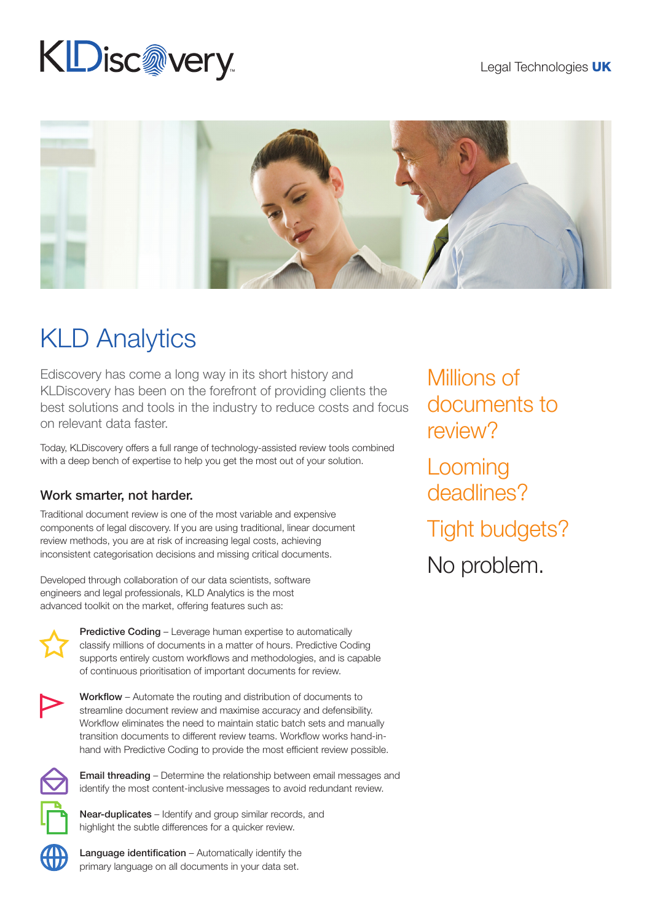### Legal Technologies UK

# KDisc@very



# KLD Analytics

Ediscovery has come a long way in its short history and KLDiscovery has been on the forefront of providing clients the best solutions and tools in the industry to reduce costs and focus on relevant data faster.

Today, KLDiscovery offers a full range of technology-assisted review tools combined with a deep bench of expertise to help you get the most out of your solution.

## Work smarter, not harder.

Traditional document review is one of the most variable and expensive components of legal discovery. If you are using traditional, linear document review methods, you are at risk of increasing legal costs, achieving inconsistent categorisation decisions and missing critical documents.

Developed through collaboration of our data scientists, software engineers and legal professionals, KLD Analytics is the most advanced toolkit on the market, offering features such as:



Predictive Coding – Leverage human expertise to automatically classify millions of documents in a matter of hours. Predictive Coding supports entirely custom workflows and methodologies, and is capable of continuous prioritisation of important documents for review.



Workflow – Automate the routing and distribution of documents to streamline document review and maximise accuracy and defensibility. Workflow eliminates the need to maintain static batch sets and manually transition documents to different review teams. Workflow works hand-inhand with Predictive Coding to provide the most efficient review possible.



Email threading – Determine the relationship between email messages and identify the most content-inclusive messages to avoid redundant review.

Near-duplicates – Identify and group similar records, and highlight the subtle differences for a quicker review.

Language identification – Automatically identify the primary language on all documents in your data set.

Millions of documents to review? Looming

deadlines?

Tight budgets?

No problem.